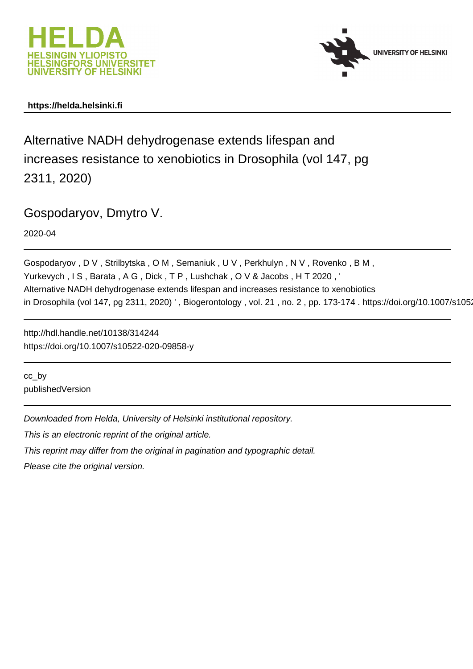



## **https://helda.helsinki.fi**

Alternative NADH dehydrogenase extends lifespan and increases resistance to xenobiotics in Drosophila (vol 147, pg 2311, 2020)

Gospodaryov, Dmytro V.

2020-04

Gospodaryov , D V , Strilbytska , O M , Semaniuk , U V , Perkhulyn , N V , Rovenko , B M , Yurkevych, IS, Barata, AG, Dick, TP, Lushchak, OV& Jacobs, HT 2020, Alternative NADH dehydrogenase extends lifespan and increases resistance to xenobiotics in Drosophila (vol 147, pg 2311, 2020) ', Biogerontology, vol. 21, no. 2, pp. 173-174. https://doi.org/10.1007/s105

http://hdl.handle.net/10138/314244 https://doi.org/10.1007/s10522-020-09858-y

cc\_by publishedVersion

Downloaded from Helda, University of Helsinki institutional repository.

This is an electronic reprint of the original article.

This reprint may differ from the original in pagination and typographic detail.

Please cite the original version.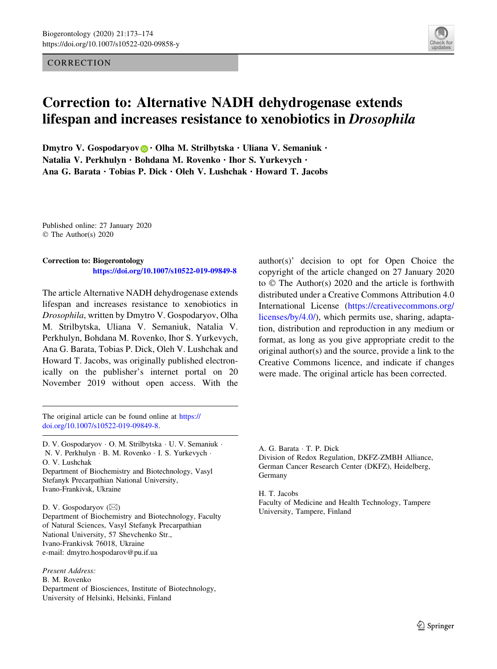## **CORRECTION**



## Correction to: Alternative NADH dehydrogenase extends lifespan and increases resistance to xenobiotics in Drosophila

Dmytro V. Gospodaryov **D** · Olha M. Strilbytska · Uliana V. Semaniuk · Natalia V. Perkhulyn · Bohdana M. Rovenko · Ihor S. Yurkevych · Ana G. Barata · Tobias P. Dick · Oleh V. Lushchak · Howard T. Jacobs

Published online: 27 January 2020 © The Author(s) 2020

## Correction to: Biogerontology

https://doi.org/10.1007/s10522-019-09849-8

The article Alternative NADH dehydrogenase extends lifespan and increases resistance to xenobiotics in Drosophila, written by Dmytro V. Gospodaryov, Olha M. Strilbytska, Uliana V. Semaniuk, Natalia V. Perkhulyn, Bohdana M. Rovenko, Ihor S. Yurkevych, Ana G. Barata, Tobias P. Dick, Oleh V. Lushchak and Howard T. Jacobs, was originally published electronically on the publisher's internet portal on 20 November 2019 without open access. With the author(s)' decision to opt for Open Choice the copyright of the article changed on 27 January 2020 to  $\odot$  The Author(s) 2020 and the article is forthwith distributed under a Creative Commons Attribution 4.0 International License [\(https://creativecommons.org/](https://creativecommons.org/licenses/by/4.0/) [licenses/by/4.0/](https://creativecommons.org/licenses/by/4.0/)), which permits use, sharing, adaptation, distribution and reproduction in any medium or format, as long as you give appropriate credit to the original author(s) and the source, provide a link to the Creative Commons licence, and indicate if changes were made. The original article has been corrected.

The original article can be found online at [https://](https://doi.org/10.1007/s10522-019-09849-8) [doi.org/10.1007/s10522-019-09849-8](https://doi.org/10.1007/s10522-019-09849-8).

D. V. Gospodaryov - O. M. Strilbytska - U. V. Semaniuk - N. V. Perkhulyn - B. M. Rovenko - I. S. Yurkevych - O. V. Lushchak Department of Biochemistry and Biotechnology, Vasyl

Stefanyk Precarpathian National University, Ivano-Frankivsk, Ukraine

D. V. Gospodaryov (⊠)

Department of Biochemistry and Biotechnology, Faculty of Natural Sciences, Vasyl Stefanyk Precarpathian National University, 57 Shevchenko Str., Ivano-Frankivsk 76018, Ukraine e-mail: dmytro.hospodarov@pu.if.ua

Present Address: B. M. Rovenko Department of Biosciences, Institute of Biotechnology, University of Helsinki, Helsinki, Finland

A. G. Barata - T. P. Dick Division of Redox Regulation, DKFZ-ZMBH Alliance, German Cancer Research Center (DKFZ), Heidelberg, Germany

H. T. Jacobs Faculty of Medicine and Health Technology, Tampere University, Tampere, Finland